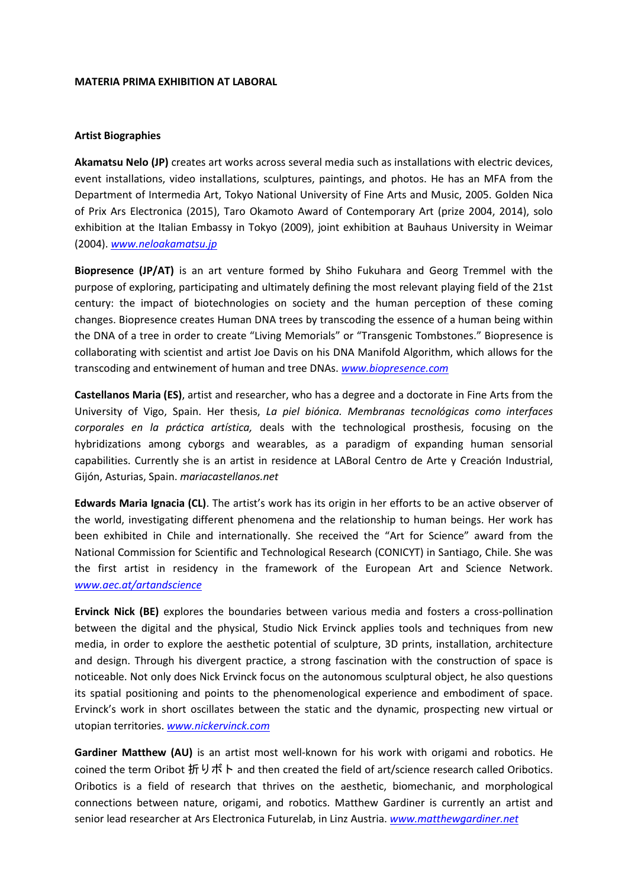## **MATERIA PRIMA EXHIBITION AT LABORAL**

## **Artist Biographies**

**Akamatsu Nelo (JP)** creates art works across several media such as installations with electric devices, event installations, video installations, sculptures, paintings, and photos. He has an MFA from the Department of Intermedia Art, Tokyo National University of Fine Arts and Music, 2005. Golden Nica of Prix Ars Electronica (2015), Taro Okamoto Award of Contemporary Art (prize 2004, 2014), solo exhibition at the Italian Embassy in Tokyo (2009), joint exhibition at Bauhaus University in Weimar (2004). *[www.neloakamatsu.jp](http://www.neloakamatsu.jp/)*

**Biopresence (JP/AT)** is an art venture formed by Shiho Fukuhara and Georg Tremmel with the purpose of exploring, participating and ultimately defining the most relevant playing field of the 21st century: the impact of biotechnologies on society and the human perception of these coming changes. Biopresence creates Human DNA trees by transcoding the essence of a human being within the DNA of a tree in order to create "Living Memorials" or "Transgenic Tombstones." Biopresence is collaborating with scientist and artist Joe Davis on his DNA Manifold Algorithm, which allows for the transcoding and entwinement of human and tree DNAs. *[www.biopresence.com](http://www.biopresence.com/)*

**Castellanos Maria (ES)**, artist and researcher, who has a degree and a doctorate in Fine Arts from the University of Vigo, Spain. Her thesis, *La piel biónica. Membranas tecnológicas como interfaces corporales en la práctica artística,* deals with the technological prosthesis, focusing on the hybridizations among cyborgs and wearables, as a paradigm of expanding human sensorial capabilities. Currently she is an artist in residence at LABoral Centro de Arte y Creación Industrial, Gijón, Asturias, Spain. *mariacastellanos.net*

**Edwards Maria Ignacia (CL)**. The artist's work has its origin in her efforts to be an active observer of the world, investigating different phenomena and the relationship to human beings. Her work has been exhibited in Chile and internationally. She received the "Art for Science" award from the National Commission for Scientific and Technological Research (CONICYT) in Santiago, Chile. She was the first artist in residency in the framework of the European Art and Science Network. *[www.aec.at/artandscience](http://www.aec.at/artandscience)*

**Ervinck Nick (BE)** explores the boundaries between various media and fosters a cross-pollination between the digital and the physical, Studio Nick Ervinck applies tools and techniques from new media, in order to explore the aesthetic potential of sculpture, 3D prints, installation, architecture and design. Through his divergent practice, a strong fascination with the construction of space is noticeable. Not only does Nick Ervinck focus on the autonomous sculptural object, he also questions its spatial positioning and points to the phenomenological experience and embodiment of space. Ervinck's work in short oscillates between the static and the dynamic, prospecting new virtual or utopian territories. *[www.nickervinck.com](http://www.nickervinck.com/)*

**Gardiner Matthew (AU)** is an artist most well-known for his work with origami and robotics. He coined the term Oribot 折りボト and then created the field of art/science research called Oribotics. Oribotics is a field of research that thrives on the aesthetic, biomechanic, and morphological connections between nature, origami, and robotics. Matthew Gardiner is currently an artist and senior lead researcher at Ars Electronica Futurelab, in Linz Austria. *[www.matthewgardiner.net](http://www.matthewgardiner.net/)*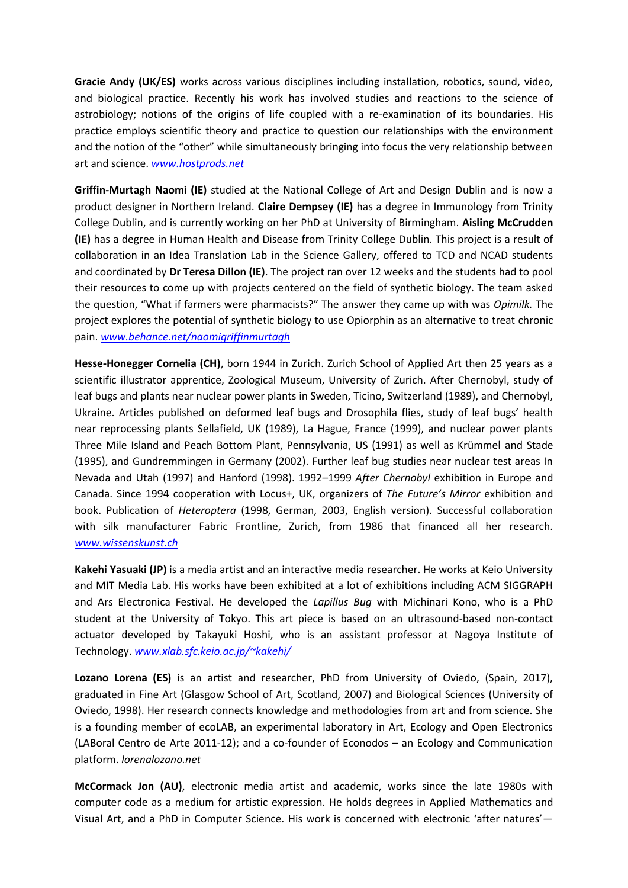**Gracie Andy (UK/ES)** works across various disciplines including installation, robotics, sound, video, and biological practice. Recently his work has involved studies and reactions to the science of astrobiology; notions of the origins of life coupled with a re-examination of its boundaries. His practice employs scientific theory and practice to question our relationships with the environment and the notion of the "other" while simultaneously bringing into focus the very relationship between art and science. *[www.hostprods.net](http://www.hostprods.net/)*

**Griffin-Murtagh Naomi (IE)** studied at the National College of Art and Design Dublin and is now a product designer in Northern Ireland. **Claire Dempsey (IE)** has a degree in Immunology from Trinity College Dublin, and is currently working on her PhD at University of Birmingham. **Aisling McCrudden (IE)** has a degree in Human Health and Disease from Trinity College Dublin. This project is a result of collaboration in an Idea Translation Lab in the Science Gallery, offered to TCD and NCAD students and coordinated by **Dr Teresa Dillon (IE)**. The project ran over 12 weeks and the students had to pool their resources to come up with projects centered on the field of synthetic biology. The team asked the question, "What if farmers were pharmacists?" The answer they came up with was *Opimilk.* The project explores the potential of synthetic biology to use Opiorphin as an alternative to treat chronic pain. *[www.behance.net/naomigriffinmurtagh](http://www.behance.net/naomigriffinmurtagh)*

**Hesse-Honegger Cornelia (CH)**, born 1944 in Zurich. Zurich School of Applied Art then 25 years as a scientific illustrator apprentice, Zoological Museum, University of Zurich. After Chernobyl, study of leaf bugs and plants near nuclear power plants in Sweden, Ticino, Switzerland (1989), and Chernobyl, Ukraine. Articles published on deformed leaf bugs and Drosophila flies, study of leaf bugs' health near reprocessing plants Sellafield, UK (1989), La Hague, France (1999), and nuclear power plants Three Mile Island and Peach Bottom Plant, Pennsylvania, US (1991) as well as Krümmel and Stade (1995), and Gundremmingen in Germany (2002). Further leaf bug studies near nuclear test areas In Nevada and Utah (1997) and Hanford (1998). 1992–1999 *After Chernobyl* exhibition in Europe and Canada. Since 1994 cooperation with Locus+, UK, organizers of *The Future's Mirror* exhibition and book. Publication of *Heteroptera* (1998, German, 2003, English version). Successful collaboration with silk manufacturer Fabric Frontline, Zurich, from 1986 that financed all her research. *[www.wissenskunst.ch](http://www.wissenskunst.ch/)*

**Kakehi Yasuaki (JP)** is a media artist and an interactive media researcher. He works at Keio University and MIT Media Lab. His works have been exhibited at a lot of exhibitions including ACM SIGGRAPH and Ars Electronica Festival. He developed the *Lapillus Bug* with Michinari Kono, who is a PhD student at the University of Tokyo. This art piece is based on an ultrasound-based non-contact actuator developed by Takayuki Hoshi, who is an assistant professor at Nagoya Institute of Technology. *[www.xlab.sfc.keio.ac.jp/~kakehi/](http://www.xlab.sfc.keio.ac.jp/~kakehi/)*

**Lozano Lorena (ES)** is an artist and researcher, PhD from University of Oviedo, (Spain, 2017), graduated in Fine Art (Glasgow School of Art, Scotland, 2007) and Biological Sciences (University of Oviedo, 1998). Her research connects knowledge and methodologies from art and from science. She is a founding member of ecoLAB, an experimental laboratory in Art, Ecology and Open Electronics (LABoral Centro de Arte 2011-12); and a co-founder of Econodos – an Ecology and Communication platform. *lorenalozano.net* 

**McCormack Jon (AU)**, electronic media artist and academic, works since the late 1980s with computer code as a medium for artistic expression. He holds degrees in Applied Mathematics and Visual Art, and a PhD in Computer Science. His work is concerned with electronic 'after natures'—